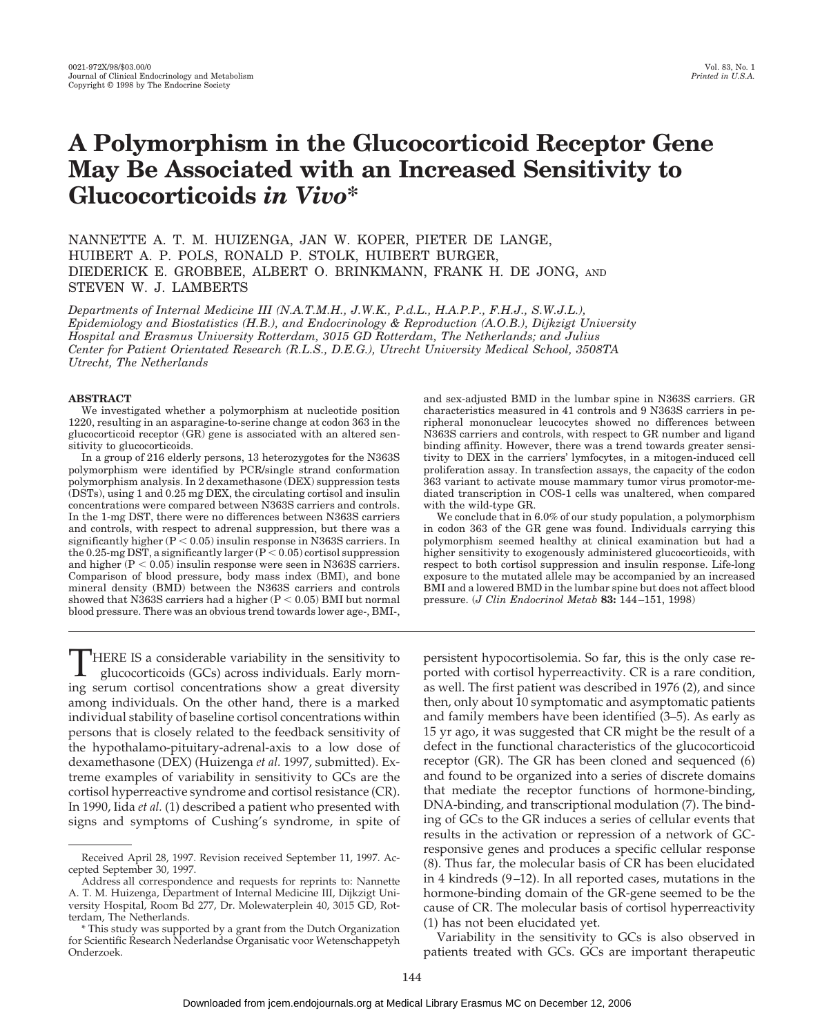# **A Polymorphism in the Glucocorticoid Receptor Gene May Be Associated with an Increased Sensitivity to Glucocorticoids** *in Vivo***\***

NANNETTE A. T. M. HUIZENGA, JAN W. KOPER, PIETER DE LANGE, HUIBERT A. P. POLS, RONALD P. STOLK, HUIBERT BURGER, DIEDERICK E. GROBBEE, ALBERT O. BRINKMANN, FRANK H. DE JONG, AND STEVEN W. J. LAMBERTS

*Departments of Internal Medicine III (N.A.T.M.H., J.W.K., P.d.L., H.A.P.P., F.H.J., S.W.J.L.), Epidemiology and Biostatistics (H.B.), and Endocrinology & Reproduction (A.O.B.), Dijkzigt University Hospital and Erasmus University Rotterdam, 3015 GD Rotterdam, The Netherlands; and Julius Center for Patient Orientated Research (R.L.S., D.E.G.), Utrecht University Medical School, 3508TA Utrecht, The Netherlands*

#### **ABSTRACT**

We investigated whether a polymorphism at nucleotide position 1220, resulting in an asparagine-to-serine change at codon 363 in the glucocorticoid receptor (GR) gene is associated with an altered sensitivity to glucocorticoids.

In a group of 216 elderly persons, 13 heterozygotes for the N363S polymorphism were identified by PCR/single strand conformation polymorphism analysis. In 2 dexamethasone (DEX) suppression tests (DSTs), using 1 and 0.25 mg DEX, the circulating cortisol and insulin concentrations were compared between N363S carriers and controls. In the 1-mg DST, there were no differences between N363S carriers and controls, with respect to adrenal suppression, but there was a significantly higher  $(P < 0.05)$  insulin response in N363S carriers. In the 0.25-mg DST, a significantly larger (P  $\leq$  0.05) cortisol suppression and higher  $(P < 0.05)$  insulin response were seen in N363S carriers. Comparison of blood pressure, body mass index (BMI), and bone mineral density (BMD) between the N363S carriers and controls showed that N363S carriers had a higher  $(P < 0.05)$  BMI but normal blood pressure. There was an obvious trend towards lower age-, BMI-,

<sup>1</sup>HERE IS a considerable variability in the sensitivity to glucocorticoids (GCs) across individuals. Early morning serum cortisol concentrations show a great diversity among individuals. On the other hand, there is a marked individual stability of baseline cortisol concentrations within persons that is closely related to the feedback sensitivity of the hypothalamo-pituitary-adrenal-axis to a low dose of dexamethasone (DEX) (Huizenga *et al.* 1997, submitted). Extreme examples of variability in sensitivity to GCs are the cortisol hyperreactive syndrome and cortisol resistance (CR). In 1990, Iida *et al.* (1) described a patient who presented with signs and symptoms of Cushing's syndrome, in spite of

and sex-adjusted BMD in the lumbar spine in N363S carriers. GR characteristics measured in 41 controls and 9 N363S carriers in peripheral mononuclear leucocytes showed no differences between N363S carriers and controls, with respect to GR number and ligand binding affinity. However, there was a trend towards greater sensitivity to DEX in the carriers' lymfocytes, in a mitogen-induced cell proliferation assay. In transfection assays, the capacity of the codon 363 variant to activate mouse mammary tumor virus promotor-mediated transcription in COS-1 cells was unaltered, when compared with the wild-type GR.

We conclude that in 6.0% of our study population, a polymorphism in codon 363 of the GR gene was found. Individuals carrying this polymorphism seemed healthy at clinical examination but had a higher sensitivity to exogenously administered glucocorticoids, with respect to both cortisol suppression and insulin response. Life-long exposure to the mutated allele may be accompanied by an increased BMI and a lowered BMD in the lumbar spine but does not affect blood pressure. (*J Clin Endocrinol Metab* **83:** 144–151, 1998)

persistent hypocortisolemia. So far, this is the only case reported with cortisol hyperreactivity. CR is a rare condition, as well. The first patient was described in 1976 (2), and since then, only about 10 symptomatic and asymptomatic patients and family members have been identified (3–5). As early as 15 yr ago, it was suggested that CR might be the result of a defect in the functional characteristics of the glucocorticoid receptor (GR). The GR has been cloned and sequenced (6) and found to be organized into a series of discrete domains that mediate the receptor functions of hormone-binding, DNA-binding, and transcriptional modulation (7). The binding of GCs to the GR induces a series of cellular events that results in the activation or repression of a network of GCresponsive genes and produces a specific cellular response (8). Thus far, the molecular basis of CR has been elucidated in 4 kindreds (9–12). In all reported cases, mutations in the hormone-binding domain of the GR-gene seemed to be the cause of CR. The molecular basis of cortisol hyperreactivity (1) has not been elucidated yet.

Variability in the sensitivity to GCs is also observed in patients treated with GCs. GCs are important therapeutic

Received April 28, 1997. Revision received September 11, 1997. Accepted September 30, 1997.

Address all correspondence and requests for reprints to: Nannette A. T. M. Huizenga, Department of Internal Medicine III, Dijkzigt University Hospital, Room Bd 277, Dr. Molewaterplein 40, 3015 GD, Rotterdam, The Netherlands.

<sup>\*</sup> This study was supported by a grant from the Dutch Organization for Scientific Research Nederlandse Organisatic voor Wetenschappetyh Onderzoek.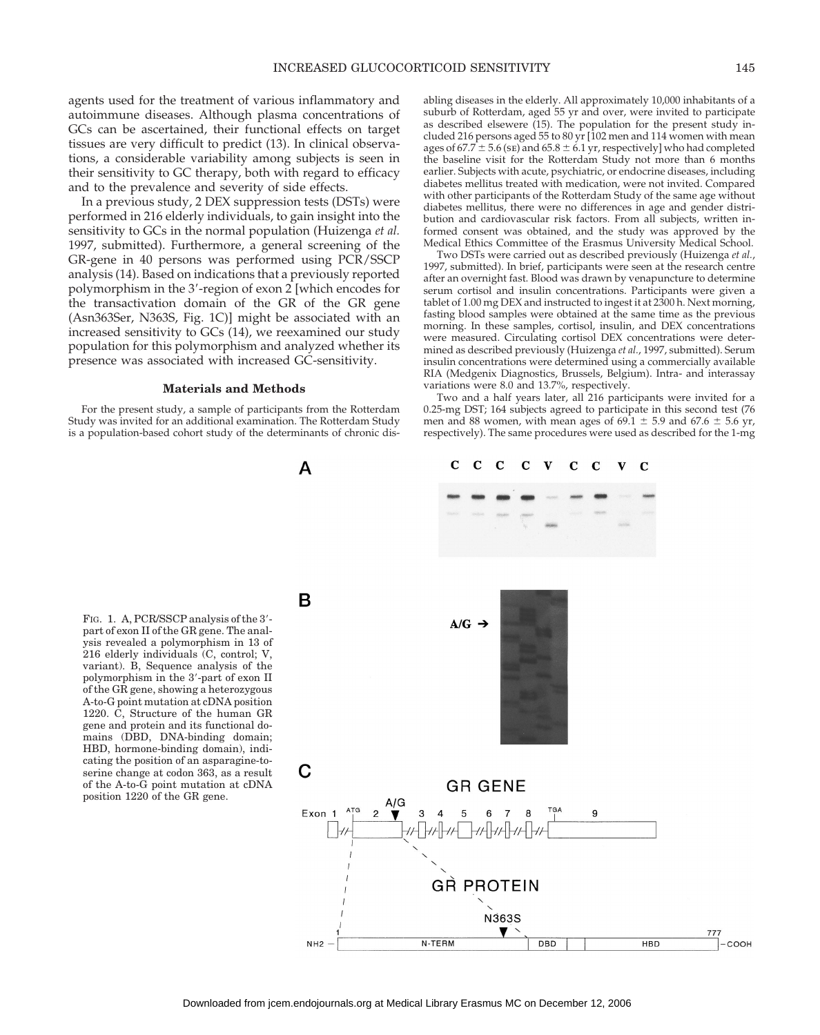agents used for the treatment of various inflammatory and autoimmune diseases. Although plasma concentrations of GCs can be ascertained, their functional effects on target tissues are very difficult to predict (13). In clinical observations, a considerable variability among subjects is seen in their sensitivity to GC therapy, both with regard to efficacy and to the prevalence and severity of side effects.

In a previous study, 2 DEX suppression tests (DSTs) were performed in 216 elderly individuals, to gain insight into the sensitivity to GCs in the normal population (Huizenga *et al.* 1997, submitted). Furthermore, a general screening of the GR-gene in 40 persons was performed using PCR/SSCP analysis (14). Based on indications that a previously reported polymorphism in the 3'-region of exon 2 [which encodes for the transactivation domain of the GR of the GR gene (Asn363Ser, N363S, Fig. 1C)] might be associated with an increased sensitivity to GCs (14), we reexamined our study population for this polymorphism and analyzed whether its presence was associated with increased GC-sensitivity.

#### **Materials and Methods**

For the present study, a sample of participants from the Rotterdam Study was invited for an additional examination. The Rotterdam Study is a population-based cohort study of the determinants of chronic dis-

A

abling diseases in the elderly. All approximately 10,000 inhabitants of a suburb of Rotterdam, aged 55 yr and over, were invited to participate as described elsewere (15). The population for the present study included 216 persons aged 55 to 80 yr [102 men and 114 women with mean ages of  $67.7 \pm 5.6$  (se) and  $65.8 \pm 6.1$  yr, respectively] who had completed the baseline visit for the Rotterdam Study not more than 6 months earlier. Subjects with acute, psychiatric, or endocrine diseases, including diabetes mellitus treated with medication, were not invited. Compared with other participants of the Rotterdam Study of the same age without diabetes mellitus, there were no differences in age and gender distribution and cardiovascular risk factors. From all subjects, written informed consent was obtained, and the study was approved by the Medical Ethics Committee of the Erasmus University Medical School.

Two DSTs were carried out as described previously (Huizenga *et al.*, 1997, submitted). In brief, participants were seen at the research centre after an overnight fast. Blood was drawn by venapuncture to determine serum cortisol and insulin concentrations. Participants were given a tablet of 1.00 mg DEX and instructed to ingest it at 2300 h. Next morning, fasting blood samples were obtained at the same time as the previous morning. In these samples, cortisol, insulin, and DEX concentrations were measured. Circulating cortisol DEX concentrations were determined as described previously (Huizenga *et al.*, 1997, submitted). Serum insulin concentrations were determined using a commercially available RIA (Medgenix Diagnostics, Brussels, Belgium). Intra- and interassay variations were 8.0 and 13.7%, respectively.

Two and a half years later, all 216 participants were invited for a 0.25-mg DST; 164 subjects agreed to participate in this second test (76 men and 88 women, with mean ages of  $69.1 \pm 5.9$  and  $67.6 \pm 5.6$  yr, respectively). The same procedures were used as described for the 1-mg

> $\mathbf{V}$  $\mathbf C$

 $\mathbf C$  $\bf C$ 

FIG. 1. A, PCR/SSCP analysis of the 3'part of exon II of the GR gene. The analysis revealed a polymorphism in 13 of 216 elderly individuals (C, control; V, variant). B, Sequence analysis of the polymorphism in the 3'-part of exon II of the GR gene, showing a heterozygous A-to-G point mutation at cDNA position 1220. C, Structure of the human GR gene and protein and its functional domains (DBD, DNA-binding domain; HBD, hormone-binding domain), indicating the position of an asparagine-toserine change at codon 363, as a result of the A-to-G point mutation at cDNA position 1220 of the GR gene.



 $\mathbf C$  $\mathbf C$   $\mathbf C$  $\mathbf{V}$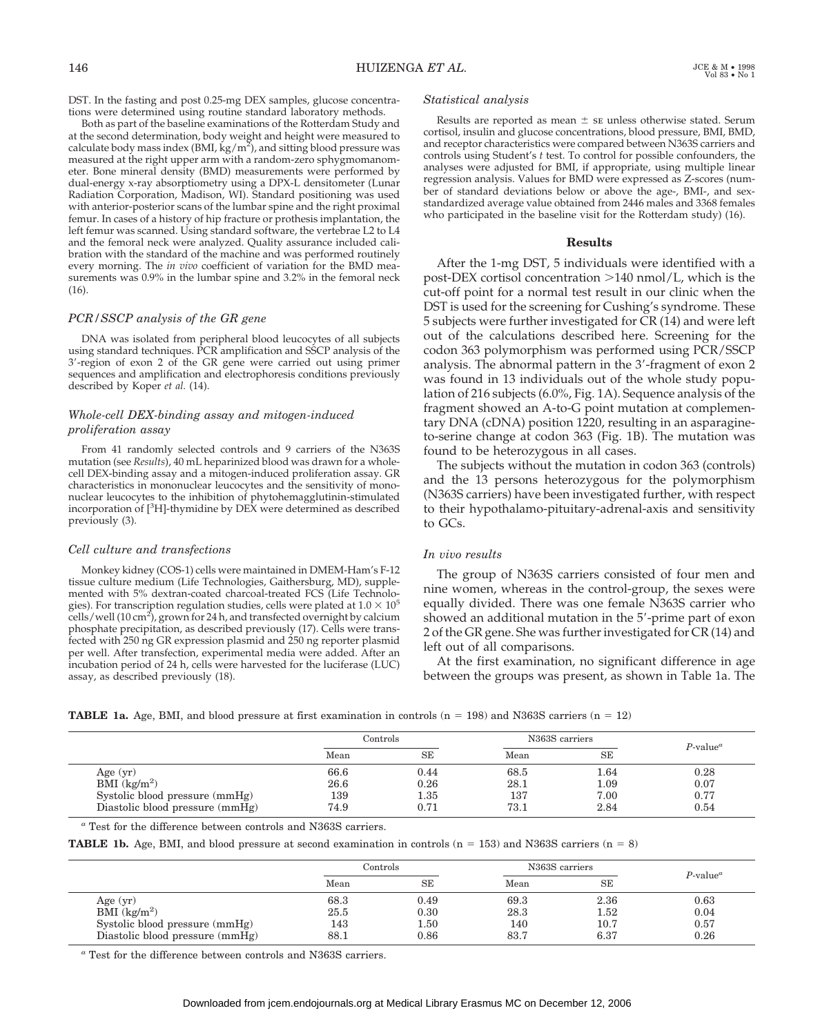DST. In the fasting and post 0.25-mg DEX samples, glucose concentrations were determined using routine standard laboratory methods.

Both as part of the baseline examinations of the Rotterdam Study and at the second determination, body weight and height were measured to calculate body mass index (BMI,  $\rm \dot{kg}/\rm m^2$ ), and sitting blood pressure was measured at the right upper arm with a random-zero sphygmomanometer. Bone mineral density (BMD) measurements were performed by dual-energy x-ray absorptiometry using a DPX-L densitometer (Lunar Radiation Corporation, Madison, WI). Standard positioning was used with anterior-posterior scans of the lumbar spine and the right proximal femur. In cases of a history of hip fracture or prothesis implantation, the left femur was scanned. Using standard software, the vertebrae L2 to L4 and the femoral neck were analyzed. Quality assurance included calibration with the standard of the machine and was performed routinely every morning. The *in vivo* coefficient of variation for the BMD measurements was 0.9% in the lumbar spine and 3.2% in the femoral neck (16).

# *PCR/SSCP analysis of the GR gene*

DNA was isolated from peripheral blood leucocytes of all subjects using standard techniques. PCR amplification and SSCP analysis of the 3'-region of exon 2 of the GR gene were carried out using primer sequences and amplification and electrophoresis conditions previously described by Koper *et al.* (14).

# *Whole-cell DEX-binding assay and mitogen-induced proliferation assay*

From 41 randomly selected controls and 9 carriers of the N363S mutation (see *Results*), 40 mL heparinized blood was drawn for a wholecell DEX-binding assay and a mitogen-induced proliferation assay. GR characteristics in mononuclear leucocytes and the sensitivity of mononuclear leucocytes to the inhibition of phytohemagglutinin-stimulated incorporation of [<sup>3</sup> H]-thymidine by DEX were determined as described previously (3).

#### *Cell culture and transfections*

Monkey kidney (COS-1) cells were maintained in DMEM-Ham's F-12 tissue culture medium (Life Technologies, Gaithersburg, MD), supplemented with 5% dextran-coated charcoal-treated FCS (Life Technologies). For transcription regulation studies, cells were plated at  $1.0 \times 10^5$ cells/well (10 cm<sup>2</sup>), grown for 24 h, and transfected overnight by calcium phosphate precipitation, as described previously (17). Cells were transfected with 250 ng GR expression plasmid and 250 ng reporter plasmid per well. After transfection, experimental media were added. After an incubation period of 24 h, cells were harvested for the luciferase (LUC) assay, as described previously (18).

# *Statistical analysis*

Results are reported as mean  $\pm$  se unless otherwise stated. Serum cortisol, insulin and glucose concentrations, blood pressure, BMI, BMD, and receptor characteristics were compared between N363S carriers and controls using Student's *t* test. To control for possible confounders, the analyses were adjusted for BMI, if appropriate, using multiple linear regression analysis. Values for BMD were expressed as Z-scores (number of standard deviations below or above the age-, BMI-, and sexstandardized average value obtained from 2446 males and 3368 females who participated in the baseline visit for the Rotterdam study) (16).

#### **Results**

After the 1-mg DST, 5 individuals were identified with a post-DEX cortisol concentration  $>140$  nmol/L, which is the cut-off point for a normal test result in our clinic when the DST is used for the screening for Cushing's syndrome. These 5 subjects were further investigated for CR (14) and were left out of the calculations described here. Screening for the codon 363 polymorphism was performed using PCR/SSCP analysis. The abnormal pattern in the  $3'$ -fragment of exon  $2$ was found in 13 individuals out of the whole study population of 216 subjects (6.0%, Fig. 1A). Sequence analysis of the fragment showed an A-to-G point mutation at complementary DNA (cDNA) position 1220, resulting in an asparagineto-serine change at codon 363 (Fig. 1B). The mutation was found to be heterozygous in all cases.

The subjects without the mutation in codon 363 (controls) and the 13 persons heterozygous for the polymorphism (N363S carriers) have been investigated further, with respect to their hypothalamo-pituitary-adrenal-axis and sensitivity to GCs.

#### *In vivo results*

The group of N363S carriers consisted of four men and nine women, whereas in the control-group, the sexes were equally divided. There was one female N363S carrier who showed an additional mutation in the 5'-prime part of exon 2 of the GR gene. She was further investigated for CR (14) and left out of all comparisons.

At the first examination, no significant difference in age between the groups was present, as shown in Table 1a. The

|  |  |  |  |  |  |  | <b>TABLE 1a.</b> Age, BMI, and blood pressure at first examination in controls ( $n = 198$ ) and N363S carriers ( $n = 12$ ) |  |  |  |  |  |  |  |  |  |  |
|--|--|--|--|--|--|--|------------------------------------------------------------------------------------------------------------------------------|--|--|--|--|--|--|--|--|--|--|
|--|--|--|--|--|--|--|------------------------------------------------------------------------------------------------------------------------------|--|--|--|--|--|--|--|--|--|--|

|                                    | $\rm{Controls}$ |      | N363S carriers | $P$ -value <sup><math>a</math></sup> |      |
|------------------------------------|-----------------|------|----------------|--------------------------------------|------|
|                                    | Mean            | SE   | Mean           | <b>SE</b>                            |      |
| Age $(yr)$                         | 66.6            | 0.44 | 68.5           | 1.64                                 | 0.28 |
| $\tilde{BMI}$ (kg/m <sup>2</sup> ) | 26.6            | 0.26 | 28.1           | 1.09                                 | 0.07 |
| Systolic blood pressure (mmHg)     | 139             | 1.35 | 137            | 7.00                                 | 0.77 |
| Diastolic blood pressure (mmHg)    | 74.9            | 0.71 | 73.1           | 2.84                                 | 0.54 |

*<sup>a</sup>* Test for the difference between controls and N363S carriers.

**TABLE 1b.** Age, BMI, and blood pressure at second examination in controls ( $n = 153$ ) and N363S carriers ( $n = 8$ )

|                                                                                    | Controls            |                           | N363S carriers      |                      | $P$ -value <sup><math>a</math></sup> |
|------------------------------------------------------------------------------------|---------------------|---------------------------|---------------------|----------------------|--------------------------------------|
|                                                                                    | Mean                | SE                        | Mean                | <b>SE</b>            |                                      |
| Age $(yr)$<br>$\tilde{BMI}$ (kg/m <sup>2</sup> )<br>Systolic blood pressure (mmHg) | 68.3<br>25.5<br>143 | 0.49<br>0.30<br>$_{1.50}$ | 69.3<br>28.3<br>140 | 2.36<br>1.52<br>10.7 | 0.63<br>0.04<br>0.57                 |
| Diastolic blood pressure (mmHg)                                                    | 88.1                | 0.86                      | 83.7                | 6.37                 | 0.26                                 |

*<sup>a</sup>* Test for the difference between controls and N363S carriers.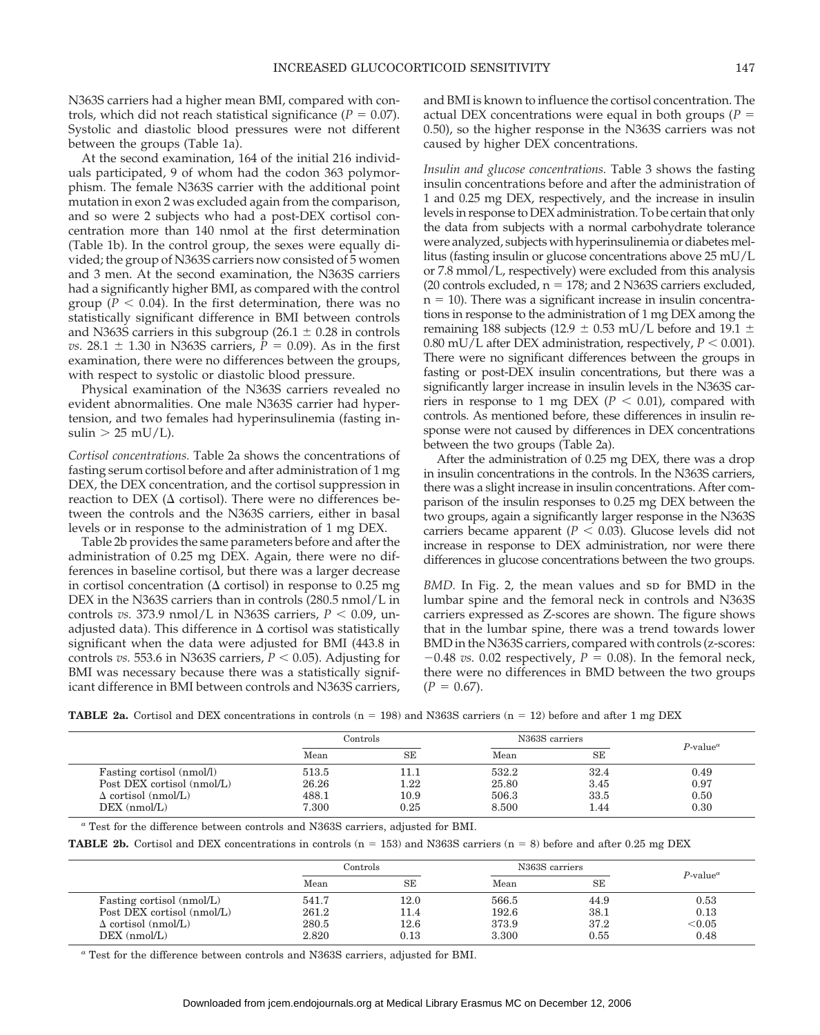N363S carriers had a higher mean BMI, compared with controls, which did not reach statistical significance  $(P = 0.07)$ . Systolic and diastolic blood pressures were not different between the groups (Table 1a).

At the second examination, 164 of the initial 216 individuals participated, 9 of whom had the codon 363 polymorphism. The female N363S carrier with the additional point mutation in exon 2 was excluded again from the comparison, and so were 2 subjects who had a post-DEX cortisol concentration more than 140 nmol at the first determination (Table 1b). In the control group, the sexes were equally divided; the group of N363S carriers now consisted of 5 women and 3 men. At the second examination, the N363S carriers had a significantly higher BMI, as compared with the control group ( $P < 0.04$ ). In the first determination, there was no statistically significant difference in BMI between controls and N363S carriers in this subgroup (26.1  $\pm$  0.28 in controls *vs.* 28.1  $\pm$  1.30 in N363S carriers,  $\overline{P}$  = 0.09). As in the first examination, there were no differences between the groups, with respect to systolic or diastolic blood pressure.

Physical examination of the N363S carriers revealed no evident abnormalities. One male N363S carrier had hypertension, and two females had hyperinsulinemia (fasting insulin  $> 25$  mU/L).

*Cortisol concentrations.* Table 2a shows the concentrations of fasting serum cortisol before and after administration of 1 mg DEX, the DEX concentration, and the cortisol suppression in reaction to DEX ( $\Delta$  cortisol). There were no differences between the controls and the N363S carriers, either in basal levels or in response to the administration of 1 mg DEX.

Table 2b provides the same parameters before and after the administration of 0.25 mg DEX. Again, there were no differences in baseline cortisol, but there was a larger decrease in cortisol concentration ( $\Delta$  cortisol) in response to 0.25 mg DEX in the N363S carriers than in controls (280.5 nmol/L in controls *vs.* 373.9 nmol/L in N363S carriers,  $P < 0.09$ , unadjusted data). This difference in  $\Delta$  cortisol was statistically significant when the data were adjusted for BMI (443.8 in controls *vs.* 553.6 in N363S carriers,  $P < 0.05$ ). Adjusting for BMI was necessary because there was a statistically significant difference in BMI between controls and N363S carriers,

and BMI is known to influence the cortisol concentration. The actual DEX concentrations were equal in both groups ( $P =$ 0.50), so the higher response in the N363S carriers was not caused by higher DEX concentrations.

*Insulin and glucose concentrations.* Table 3 shows the fasting insulin concentrations before and after the administration of 1 and 0.25 mg DEX, respectively, and the increase in insulin levels in response to DEX administration. To be certain that only the data from subjects with a normal carbohydrate tolerance were analyzed, subjects with hyperinsulinemia or diabetes mellitus (fasting insulin or glucose concentrations above 25 mU/L or 7.8 mmol/L, respectively) were excluded from this analysis (20 controls excluded,  $n = 178$ ; and 2 N363S carriers excluded,  $n = 10$ ). There was a significant increase in insulin concentrations in response to the administration of 1 mg DEX among the remaining 188 subjects (12.9  $\pm$  0.53 mU/L before and 19.1  $\pm$ 0.80 mU/L after DEX administration, respectively,  $P < 0.001$ ). There were no significant differences between the groups in fasting or post-DEX insulin concentrations, but there was a significantly larger increase in insulin levels in the N363S carriers in response to 1 mg DEX ( $P < 0.01$ ), compared with controls. As mentioned before, these differences in insulin response were not caused by differences in DEX concentrations between the two groups (Table 2a).

After the administration of 0.25 mg DEX, there was a drop in insulin concentrations in the controls. In the N363S carriers, there was a slight increase in insulin concentrations. After comparison of the insulin responses to 0.25 mg DEX between the two groups, again a significantly larger response in the N363S carriers became apparent ( $P < 0.03$ ). Glucose levels did not increase in response to DEX administration, nor were there differences in glucose concentrations between the two groups.

*BMD.* In Fig. 2, the mean values and sp for BMD in the lumbar spine and the femoral neck in controls and N363S carriers expressed as Z-scores are shown. The figure shows that in the lumbar spine, there was a trend towards lower BMD in the N363S carriers, compared with controls (z-scores:  $-0.48$  *vs.* 0.02 respectively,  $P = 0.08$ ). In the femoral neck, there were no differences in BMD between the two groups  $(P = 0.67)$ .

| <b>TABLE 2a.</b> Cortisol and DEX concentrations in controls ( $n = 198$ ) and N363S carriers ( $n = 12$ ) before and after 1 mg DEX |  |
|--------------------------------------------------------------------------------------------------------------------------------------|--|
|--------------------------------------------------------------------------------------------------------------------------------------|--|

|                            | Controls |           | N <sub>363</sub> S carriers | $P$ -value <sup><math>a</math></sup> |      |  |
|----------------------------|----------|-----------|-----------------------------|--------------------------------------|------|--|
|                            | Mean     | <b>SE</b> | Mean                        | <b>SE</b>                            |      |  |
| Fasting cortisol (nmol/l)  | 513.5    | 11.1      | 532.2                       | 32.4                                 | 0.49 |  |
| Post DEX cortisol (nmol/L) | 26.26    | $1.22\,$  | 25.80                       | 3.45                                 | 0.97 |  |
| $\Delta$ cortisol (nmol/L) | 488.1    | 10.9      | 506.3                       | 33.5                                 | 0.50 |  |
| $DEX$ (nmol/L)             | 7.300    | 0.25      | 8.500                       | 1.44                                 | 0.30 |  |

*<sup>a</sup>* Test for the difference between controls and N363S carriers, adjusted for BMI.

**TABLE 2b.** Cortisol and DEX concentrations in controls ( $n = 153$ ) and N363S carriers ( $n = 8$ ) before and after 0.25 mg DEX

|                            | Controls |          | N363S carriers | $P$ -value <sup><math>a</math></sup> |        |
|----------------------------|----------|----------|----------------|--------------------------------------|--------|
|                            | Mean     | SE       | Mean           | <b>SE</b>                            |        |
| Fasting cortisol (nmol/L)  | 541.7    | $12.0\,$ | 566.5          | 44.9                                 | 0.53   |
| Post DEX cortisol (nmol/L) | 261.2    | 11.4     | 192.6          | 38.1                                 | 0.13   |
| $\Delta$ cortisol (nmol/L) | 280.5    | 12.6     | 373.9          | 37.2                                 | < 0.05 |
| $DEX$ (nmol/L)             | 2.820    | 0.13     | 3.300          | 0.55                                 | 0.48   |

*<sup>a</sup>* Test for the difference between controls and N363S carriers, adjusted for BMI.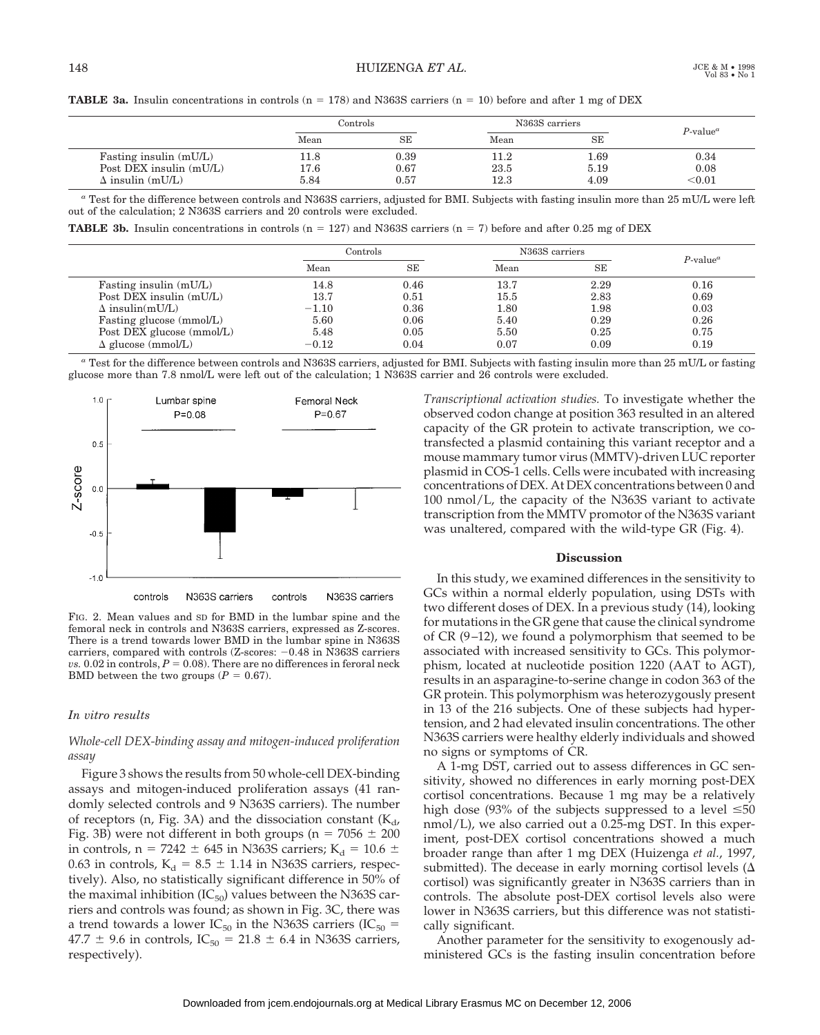|  |  | <b>TABLE 3a.</b> Insulin concentrations in controls ( $n = 178$ ) and N363S carriers ( $n = 10$ ) before and after 1 mg of DEX |  |  |  |  |  |  |  |  |  |  |
|--|--|--------------------------------------------------------------------------------------------------------------------------------|--|--|--|--|--|--|--|--|--|--|
|--|--|--------------------------------------------------------------------------------------------------------------------------------|--|--|--|--|--|--|--|--|--|--|

|                         | Controls |           | N363S carriers | $P$ -value <sup><math>a</math></sup> |        |
|-------------------------|----------|-----------|----------------|--------------------------------------|--------|
|                         | Mean     | <b>SE</b> | Mean           | SE                                   |        |
| Fasting insulin (mU/L)  | 11.8     | 0.39      |                | 1.69                                 | 0.34   |
| Post DEX insulin (mU/L) | 17.6     | 0.67      | 23.5           | 5.19                                 | 0.08   |
| $\Delta$ insulin (mU/L) | 5.84     | 0.57      | 12.3           | 4.09                                 | < 0.01 |

*<sup>a</sup>* Test for the difference between controls and N363S carriers, adjusted for BMI. Subjects with fasting insulin more than 25 mU/L were left out of the calculation; 2 N363S carriers and 20 controls were excluded.

**TABLE 3b.** Insulin concentrations in controls  $(n = 127)$  and N363S carriers  $(n = 7)$  before and after 0.25 mg of DEX

|                           | Controls |           | N363S carriers | $P$ -value <sup><math>a</math></sup> |      |  |
|---------------------------|----------|-----------|----------------|--------------------------------------|------|--|
|                           | Mean     | <b>SE</b> | Mean           | SE                                   |      |  |
| Fasting insulin (mU/L)    | 14.8     | 0.46      | 13.7           | 2.29                                 | 0.16 |  |
| Post DEX insulin (mU/L)   | 13.7     | 0.51      | $15.5\,$       | 2.83                                 | 0.69 |  |
| $\Delta$ insulin(mU/L)    | $-1.10$  | 0.36      | 1.80           | 1.98                                 | 0.03 |  |
| Fasting glucose (mmol/L)  | 5.60     | 0.06      | 5.40           | 0.29                                 | 0.26 |  |
| Post DEX glucose (mmol/L) | 5.48     | 0.05      | 5.50           | 0.25                                 | 0.75 |  |
| $\Delta$ glucose (mmol/L) | $-0.12$  | 0.04      | 0.07           | 0.09                                 | 0.19 |  |

*<sup>a</sup>* Test for the difference between controls and N363S carriers, adjusted for BMI. Subjects with fasting insulin more than 25 mU/L or fasting glucose more than 7.8 nmol/L were left out of the calculation; 1 N363S carrier and 26 controls were excluded.



FIG. 2. Mean values and SD for BMD in the lumbar spine and the femoral neck in controls and N363S carriers, expressed as Z-scores. There is a trend towards lower BMD in the lumbar spine in N363S carriers, compared with controls  $(Z\text{-}scores: -0.48 \text{ in N363S}\text{ carriers})$  $vs.$  0.02 in controls,  $P = 0.08$ ). There are no differences in feroral neck BMD between the two groups  $(P = 0.67)$ .

## *In vitro results*

# *Whole-cell DEX-binding assay and mitogen-induced proliferation assay*

Figure 3 shows the results from 50 whole-cell DEX-binding assays and mitogen-induced proliferation assays (41 randomly selected controls and 9 N363S carriers). The number of receptors (n, Fig. 3A) and the dissociation constant  $(K_d)$ Fig. 3B) were not different in both groups ( $n = 7056 \pm 200$ in controls,  $n = 7242 \pm 645$  in N363S carriers; K<sub>d</sub> = 10.6  $\pm$ 0.63 in controls,  $K_d = 8.5 \pm 1.14$  in N363S carriers, respectively). Also, no statistically significant difference in 50% of the maximal inhibition ( $IC_{50}$ ) values between the N363S carriers and controls was found; as shown in Fig. 3C, there was a trend towards a lower IC<sub>50</sub> in the N363S carriers (IC<sub>50</sub> =  $47.7 \pm 9.6$  in controls, IC<sub>50</sub> = 21.8  $\pm$  6.4 in N363S carriers, respectively).

*Transcriptional activation studies.* To investigate whether the observed codon change at position 363 resulted in an altered capacity of the GR protein to activate transcription, we cotransfected a plasmid containing this variant receptor and a mouse mammary tumor virus (MMTV)-driven LUC reporter plasmid in COS-1 cells. Cells were incubated with increasing concentrations of DEX. At DEX concentrations between 0 and 100 nmol/L, the capacity of the N363S variant to activate transcription from the MMTV promotor of the N363S variant was unaltered, compared with the wild-type GR (Fig. 4).

# **Discussion**

In this study, we examined differences in the sensitivity to GCs within a normal elderly population, using DSTs with two different doses of DEX. In a previous study (14), looking for mutations in the GR gene that cause the clinical syndrome of CR (9–12), we found a polymorphism that seemed to be associated with increased sensitivity to GCs. This polymorphism, located at nucleotide position 1220 (AAT to AGT), results in an asparagine-to-serine change in codon 363 of the GR protein. This polymorphism was heterozygously present in 13 of the 216 subjects. One of these subjects had hypertension, and 2 had elevated insulin concentrations. The other N363S carriers were healthy elderly individuals and showed no signs or symptoms of CR.

A 1-mg DST, carried out to assess differences in GC sensitivity, showed no differences in early morning post-DEX cortisol concentrations. Because 1 mg may be a relatively high dose (93% of the subjects suppressed to a level  $\leq 50$ nmol/L), we also carried out a 0.25-mg DST. In this experiment, post-DEX cortisol concentrations showed a much broader range than after 1 mg DEX (Huizenga *et al.*, 1997, submitted). The decease in early morning cortisol levels  $(\Delta)$ cortisol) was significantly greater in N363S carriers than in controls. The absolute post-DEX cortisol levels also were lower in N363S carriers, but this difference was not statistically significant.

Another parameter for the sensitivity to exogenously administered GCs is the fasting insulin concentration before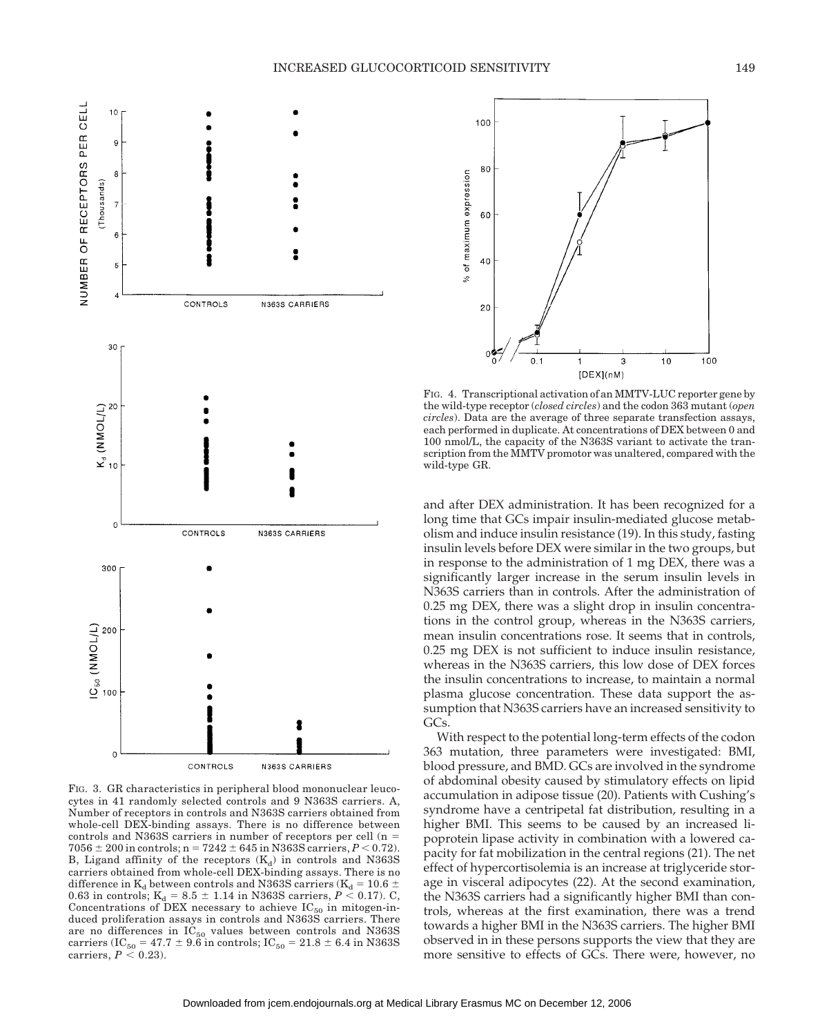

FIG. 3. GR characteristics in peripheral blood mononuclear leucocytes in 41 randomly selected controls and 9 N363S carriers. A, Number of receptors in controls and N363S carriers obtained from whole-cell DEX-binding assays. There is no difference between controls and N363S carriers in number of receptors per cell  $(n =$  $7056 \pm 200$  in controls; n =  $7242 \pm 645$  in N363S carriers,  $P < 0.72$ ). B, Ligand affinity of the receptors  $(K_d)$  in controls and N363S carriers obtained from whole-cell DEX-binding assays. There is no difference in  $K_d$  between controls and N363S carriers ( $K_d = 10.6 \pm 10$ 0.63 in controls;  $K_d = 8.5 \pm 1.14$  in N363S carriers,  $P \le 0.17$ ). C, Concentrations of DEX necessary to achieve  $IC_{50}$  in mitogen-induced proliferation assays in controls and N363S carriers. There are no differences in  $IC_{50}$  values between controls and N363S carriers (IC<sub>50</sub> = 47.7  $\pm$  9.6 in controls; IC<sub>50</sub> = 21.8  $\pm$  6.4 in N363S carriers,  $P \le 0.23$ ).



FIG. 4. Transcriptional activation of an MMTV-LUC reporter gene by the wild-type receptor (*closed circles*) and the codon 363 mutant (*open circles*). Data are the average of three separate transfection assays, each performed in duplicate. At concentrations of DEX between 0 and 100 nmol/L, the capacity of the N363S variant to activate the transcription from the MMTV promotor was unaltered, compared with the wild-type GR.

and after DEX administration. It has been recognized for a long time that GCs impair insulin-mediated glucose metabolism and induce insulin resistance (19). In this study, fasting insulin levels before DEX were similar in the two groups, but in response to the administration of 1 mg DEX, there was a significantly larger increase in the serum insulin levels in N363S carriers than in controls. After the administration of 0.25 mg DEX, there was a slight drop in insulin concentrations in the control group, whereas in the N363S carriers, mean insulin concentrations rose. It seems that in controls, 0.25 mg DEX is not sufficient to induce insulin resistance, whereas in the N363S carriers, this low dose of DEX forces the insulin concentrations to increase, to maintain a normal plasma glucose concentration. These data support the assumption that N363S carriers have an increased sensitivity to GCs.

With respect to the potential long-term effects of the codon 363 mutation, three parameters were investigated: BMI, blood pressure, and BMD. GCs are involved in the syndrome of abdominal obesity caused by stimulatory effects on lipid accumulation in adipose tissue (20). Patients with Cushing's syndrome have a centripetal fat distribution, resulting in a higher BMI. This seems to be caused by an increased lipoprotein lipase activity in combination with a lowered capacity for fat mobilization in the central regions (21). The net effect of hypercortisolemia is an increase at triglyceride storage in visceral adipocytes (22). At the second examination, the N363S carriers had a significantly higher BMI than controls, whereas at the first examination, there was a trend towards a higher BMI in the N363S carriers. The higher BMI observed in in these persons supports the view that they are more sensitive to effects of GCs. There were, however, no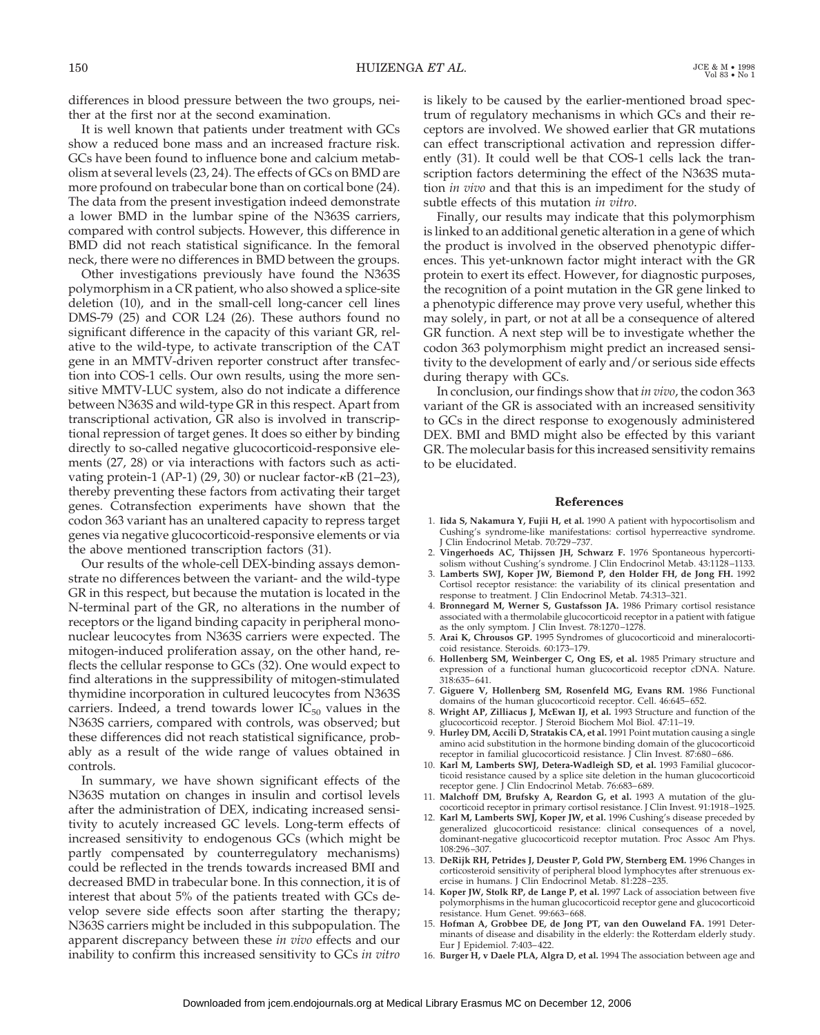differences in blood pressure between the two groups, neither at the first nor at the second examination.

It is well known that patients under treatment with GCs show a reduced bone mass and an increased fracture risk. GCs have been found to influence bone and calcium metabolism at several levels (23, 24). The effects of GCs on BMD are more profound on trabecular bone than on cortical bone (24). The data from the present investigation indeed demonstrate a lower BMD in the lumbar spine of the N363S carriers, compared with control subjects. However, this difference in BMD did not reach statistical significance. In the femoral neck, there were no differences in BMD between the groups.

Other investigations previously have found the N363S polymorphism in a CR patient, who also showed a splice-site deletion (10), and in the small-cell long-cancer cell lines DMS-79 (25) and COR L24 (26). These authors found no significant difference in the capacity of this variant GR, relative to the wild-type, to activate transcription of the CAT gene in an MMTV-driven reporter construct after transfection into COS-1 cells. Our own results, using the more sensitive MMTV-LUC system, also do not indicate a difference between N363S and wild-type GR in this respect. Apart from transcriptional activation, GR also is involved in transcriptional repression of target genes. It does so either by binding directly to so-called negative glucocorticoid-responsive elements (27, 28) or via interactions with factors such as activating protein-1 (AP-1) (29, 30) or nuclear factor- $\kappa$ B (21-23), thereby preventing these factors from activating their target genes. Cotransfection experiments have shown that the codon 363 variant has an unaltered capacity to repress target genes via negative glucocorticoid-responsive elements or via the above mentioned transcription factors (31).

Our results of the whole-cell DEX-binding assays demonstrate no differences between the variant- and the wild-type GR in this respect, but because the mutation is located in the N-terminal part of the GR, no alterations in the number of receptors or the ligand binding capacity in peripheral mononuclear leucocytes from N363S carriers were expected. The mitogen-induced proliferation assay, on the other hand, reflects the cellular response to GCs (32). One would expect to find alterations in the suppressibility of mitogen-stimulated thymidine incorporation in cultured leucocytes from N363S carriers. Indeed, a trend towards lower  $IC_{50}$  values in the N363S carriers, compared with controls, was observed; but these differences did not reach statistical significance, probably as a result of the wide range of values obtained in controls.

In summary, we have shown significant effects of the N363S mutation on changes in insulin and cortisol levels after the administration of DEX, indicating increased sensitivity to acutely increased GC levels. Long-term effects of increased sensitivity to endogenous GCs (which might be partly compensated by counterregulatory mechanisms) could be reflected in the trends towards increased BMI and decreased BMD in trabecular bone. In this connection, it is of interest that about 5% of the patients treated with GCs develop severe side effects soon after starting the therapy; N363S carriers might be included in this subpopulation. The apparent discrepancy between these *in vivo* effects and our inability to confirm this increased sensitivity to GCs *in vitro*

is likely to be caused by the earlier-mentioned broad spectrum of regulatory mechanisms in which GCs and their receptors are involved. We showed earlier that GR mutations can effect transcriptional activation and repression differently (31). It could well be that COS-1 cells lack the transcription factors determining the effect of the N363S mutation *in vivo* and that this is an impediment for the study of subtle effects of this mutation *in vitro*.

Finally, our results may indicate that this polymorphism is linked to an additional genetic alteration in a gene of which the product is involved in the observed phenotypic differences. This yet-unknown factor might interact with the GR protein to exert its effect. However, for diagnostic purposes, the recognition of a point mutation in the GR gene linked to a phenotypic difference may prove very useful, whether this may solely, in part, or not at all be a consequence of altered GR function. A next step will be to investigate whether the codon 363 polymorphism might predict an increased sensitivity to the development of early and/or serious side effects during therapy with GCs.

In conclusion, our findings show that *in vivo*, the codon 363 variant of the GR is associated with an increased sensitivity to GCs in the direct response to exogenously administered DEX. BMI and BMD might also be effected by this variant GR. The molecular basis for this increased sensitivity remains to be elucidated.

#### **References**

- 1. **Iida S, Nakamura Y, Fujii H, et al.** 1990 A patient with hypocortisolism and Cushing's syndrome-like manifestations: cortisol hyperreactive syndrome. Clin Endocrinol Metab. 70:729-737.
- 2. **Vingerhoeds AC, Thijssen JH, Schwarz F.** 1976 Spontaneous hypercortisolism without Cushing's syndrome. J Clin Endocrinol Metab. 43:1128–1133.
- 3. **Lamberts SWJ, Koper JW, Biemond P, den Holder FH, de Jong FH.** 1992 Cortisol receptor resistance: the variability of its clinical presentation and response to treatment. J Clin Endocrinol Metab. 74:313–321.
- 4. **Bronnegard M, Werner S, Gustafsson JA.** 1986 Primary cortisol resistance associated with a thermolabile glucocorticoid receptor in a patient with fatigue as the only symptom. J Clin Invest. 78:1270–1278.
- 5. **Arai K, Chrousos GP.** 1995 Syndromes of glucocorticoid and mineralocorticoid resistance. Steroids. 60:173–179.
- 6. **Hollenberg SM, Weinberger C, Ong ES, et al.** 1985 Primary structure and expression of a functional human glucocorticoid receptor cDNA. Nature. 318:635–641.
- 7. **Giguere V, Hollenberg SM, Rosenfeld MG, Evans RM.** 1986 Functional domains of the human glucocorticoid receptor. Cell. 46:645–652.
- 8. **Wright AP, Zilliacus J, McEwan IJ, et al.** 1993 Structure and function of the glucocorticoid receptor. J Steroid Biochem Mol Biol. 47:11–19.
- 9. **Hurley DM, Accili D, Stratakis CA, et al.** 1991 Point mutation causing a single amino acid substitution in the hormone binding domain of the glucocorticoid receptor in familial glucocorticoid resistance. J Clin Invest. 87:680-686.
- 10. **Karl M, Lamberts SWJ, Detera-Wadleigh SD, et al.** 1993 Familial glucocorticoid resistance caused by a splice site deletion in the human glucocorticoid receptor gene. J Clin Endocrinol Metab. 76:683–689.
- 11. **Malchoff DM, Brufsky A, Reardon G, et al.** 1993 A mutation of the glucocorticoid receptor in primary cortisol resistance. J Clin Invest. 91:1918–1925.
- 12. **Karl M, Lamberts SWJ, Koper JW, et al.** 1996 Cushing's disease preceded by generalized glucocorticoid resistance: clinical consequences of a novel, dominant-negative glucocorticoid receptor mutation. Proc Assoc Am Phys. 108:296–307.
- 13. **DeRijk RH, Petrides J, Deuster P, Gold PW, Sternberg EM.** 1996 Changes in corticosteroid sensitivity of peripheral blood lymphocytes after strenuous exercise in humans. J Clin Endocrinol Metab. 81:228–235.
- 14. **Koper JW, Stolk RP, de Lange P, et al.** 1997 Lack of association between five polymorphisms in the human glucocorticoid receptor gene and glucocorticoid resistance. Hum Genet. 99:663–668.
- 15. **Hofman A, Grobbee DE, de Jong PT, van den Ouweland FA.** 1991 Determinants of disease and disability in the elderly: the Rotterdam elderly study. Eur J Epidemiol. 7:403–422.
- 16. **Burger H, v Daele PLA, Algra D, et al.** 1994 The association between age and